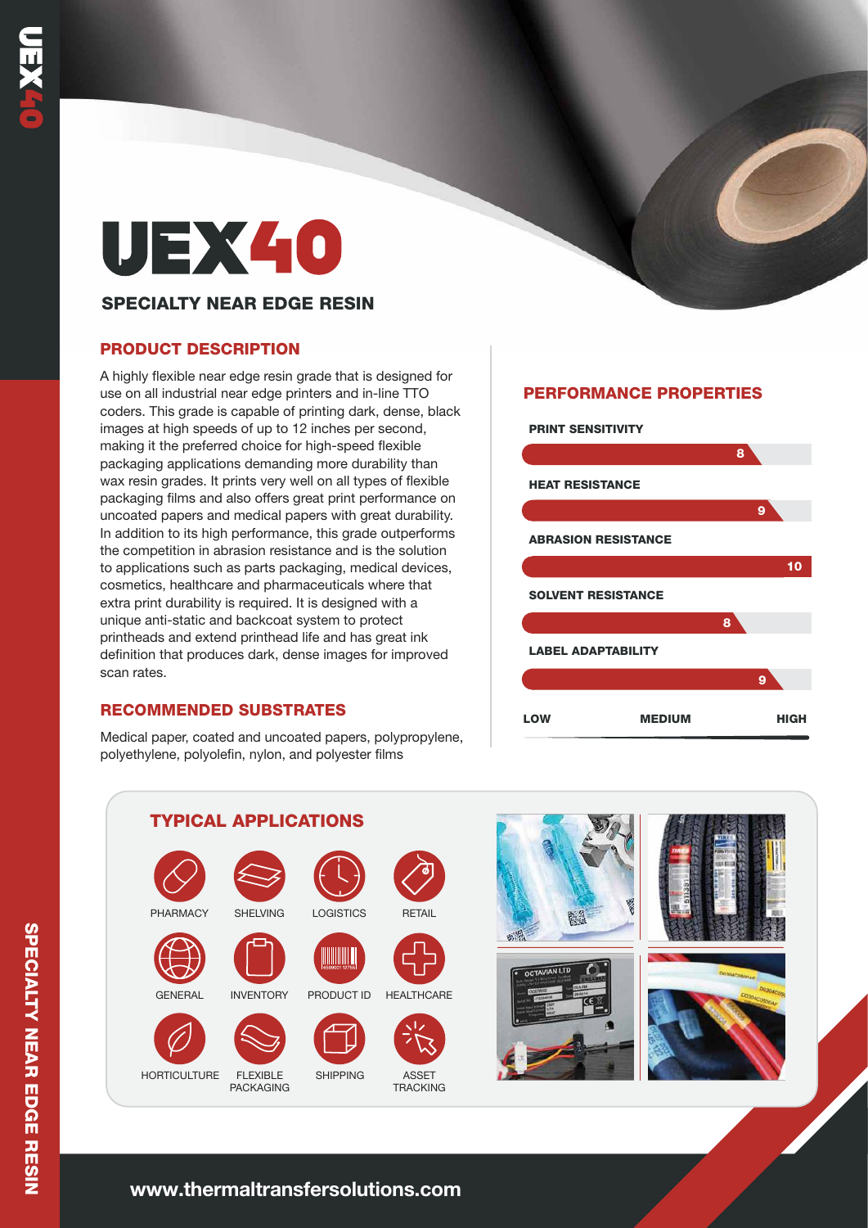# UEX40

## SPECIALTY NEAR EDGE RESIN

## PRODUCT DESCRIPTION

A highly flexible near edge resin grade that is designed for use on all industrial near edge printers and in-line TTO coders. This grade is capable of printing dark, dense, black images at high speeds of up to 12 inches per second, making it the preferred choice for high-speed flexible packaging applications demanding more durability than wax resin grades. It prints very well on all types of flexible packaging films and also offers great print performance on uncoated papers and medical papers with great durability. In addition to its high performance, this grade outperforms the competition in abrasion resistance and is the solution to applications such as parts packaging, medical devices, cosmetics, healthcare and pharmaceuticals where that extra print durability is required. It is designed with a unique anti-static and backcoat system to protect printheads and extend printhead life and has great ink definition that produces dark, dense images for improved scan rates.

## RECOMMENDED SUBSTRATES

Medical paper, coated and uncoated papers, polypropylene, polyethylene, polyolefin, nylon, and polyester films

# PERFORMANCE PROPERTIES







# **www.thermaltransfersolutions.com**